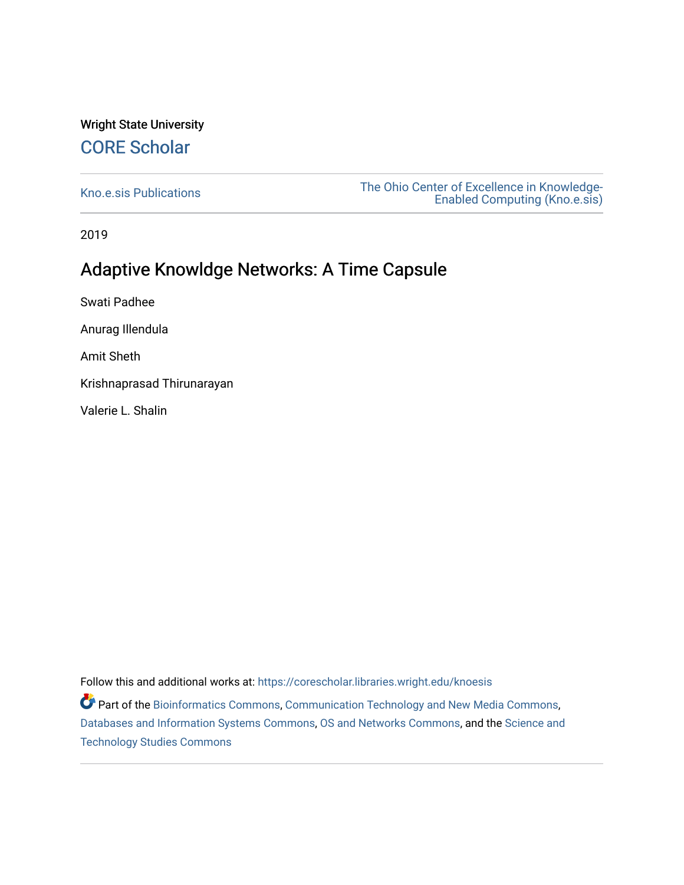#### Wright State University [CORE Scholar](https://corescholar.libraries.wright.edu/)

[Kno.e.sis Publications](https://corescholar.libraries.wright.edu/knoesis) [The Ohio Center of Excellence in Knowledge-](https://corescholar.libraries.wright.edu/knoesis_comm)[Enabled Computing \(Kno.e.sis\)](https://corescholar.libraries.wright.edu/knoesis_comm) 

2019

#### Adaptive Knowldge Networks: A Time Capsule

Swati Padhee

Anurag Illendula

Amit Sheth

Krishnaprasad Thirunarayan

Valerie L. Shalin

Follow this and additional works at: [https://corescholar.libraries.wright.edu/knoesis](https://corescholar.libraries.wright.edu/knoesis?utm_source=corescholar.libraries.wright.edu%2Fknoesis%2F1162&utm_medium=PDF&utm_campaign=PDFCoverPages) 

**P** Part of the [Bioinformatics Commons,](http://network.bepress.com/hgg/discipline/110?utm_source=corescholar.libraries.wright.edu%2Fknoesis%2F1162&utm_medium=PDF&utm_campaign=PDFCoverPages) [Communication Technology and New Media Commons,](http://network.bepress.com/hgg/discipline/327?utm_source=corescholar.libraries.wright.edu%2Fknoesis%2F1162&utm_medium=PDF&utm_campaign=PDFCoverPages) [Databases and Information Systems Commons](http://network.bepress.com/hgg/discipline/145?utm_source=corescholar.libraries.wright.edu%2Fknoesis%2F1162&utm_medium=PDF&utm_campaign=PDFCoverPages), [OS and Networks Commons](http://network.bepress.com/hgg/discipline/149?utm_source=corescholar.libraries.wright.edu%2Fknoesis%2F1162&utm_medium=PDF&utm_campaign=PDFCoverPages), and the [Science and](http://network.bepress.com/hgg/discipline/435?utm_source=corescholar.libraries.wright.edu%2Fknoesis%2F1162&utm_medium=PDF&utm_campaign=PDFCoverPages) [Technology Studies Commons](http://network.bepress.com/hgg/discipline/435?utm_source=corescholar.libraries.wright.edu%2Fknoesis%2F1162&utm_medium=PDF&utm_campaign=PDFCoverPages)